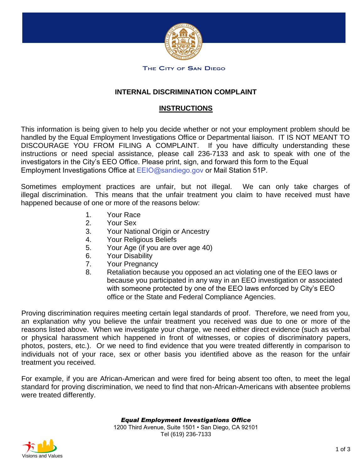

#### THE CITY OF SAN DIEGO

## **INTERNAL DISCRIMINATION COMPLAINT**

## **INSTRUCTIONS**

This information is being given to help you decide whether or not your employment problem should be handled by the Equal Employment Investigations Office or Departmental liaison. IT IS NOT MEANT TO DISCOURAGE YOU FROM FILING A COMPLAINT. If you have difficulty understanding these instructions or need special assistance, please call 236-7133 and ask to speak with one of the investigators in the City's EEO Office. Please print, sign, and forward this form to the Equal Employment Investigations Office at [EEIO@sandiego.gov](mailto:eeio@sandiego.gov) or Mail Station 51P.

Sometimes employment practices are unfair, but not illegal. We can only take charges of illegal discrimination. This means that the unfair treatment you claim to have received must have happened because of one or more of the reasons below:

- 1. Your Race
- 2. Your Sex
- 3. Your National Origin or Ancestry
- 4. Your Religious Beliefs
- 5. Your Age (if you are over age 40)
- 6. Your Disability
- 7. Your Pregnancy
- 8. Retaliation because you opposed an act violating one of the EEO laws or because you participated in any way in an EEO investigation or associated with someone protected by one of the EEO laws enforced by City's EEO office or the State and Federal Compliance Agencies.

Proving discrimination requires meeting certain legal standards of proof. Therefore, we need from you, an explanation why you believe the unfair treatment you received was due to one or more of the reasons listed above. When we investigate your charge, we need either direct evidence (such as verbal or physical harassment which happened in front of witnesses, or copies of discriminatory papers, photos, posters, etc.). Or we need to find evidence that you were treated differently in comparison to individuals not of your race, sex or other basis you identified above as the reason for the unfair treatment you received.

For example, if you are African-American and were fired for being absent too often, to meet the legal standard for proving discrimination, we need to find that non-African-Americans with absentee problems were treated differently.

*Equal Employment Investigations Office* 

1200 Third Avenue, Suite 1501 • San Diego, CA 92101 Tel (619) 236-7133

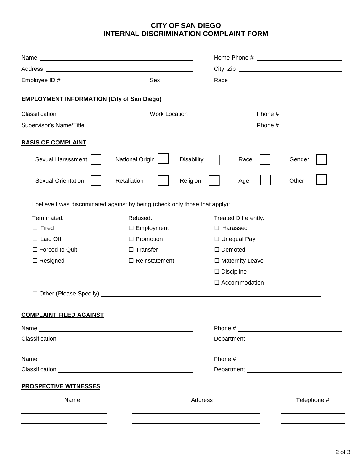# **CITY OF SAN DIEGO INTERNAL DISCRIMINATION COMPLAINT FORM**

| <b>EMPLOYMENT INFORMATION (City of San Diego)</b>                             |                              |                        |                             |             |  |
|-------------------------------------------------------------------------------|------------------------------|------------------------|-----------------------------|-------------|--|
| Classification ______________________                                         | Work Location ______________ |                        |                             |             |  |
|                                                                               |                              |                        |                             |             |  |
| <b>BASIS OF COMPLAINT</b>                                                     |                              |                        |                             |             |  |
| Sexual Harassment                                                             | National Origin              | <b>Disability</b>      | Race                        | Gender      |  |
| <b>Sexual Orientation</b>                                                     | Retaliation                  | Religion               | Age                         | Other       |  |
| I believe I was discriminated against by being (check only those that apply): |                              |                        |                             |             |  |
| Terminated:                                                                   | Refused:                     |                        | <b>Treated Differently:</b> |             |  |
| $\Box$ Fired                                                                  | $\Box$ Employment            |                        | $\Box$ Harassed             |             |  |
| $\Box$ Laid Off                                                               | $\Box$ Promotion             |                        | $\Box$ Unequal Pay          |             |  |
| $\Box$ Forced to Quit                                                         | $\Box$ Transfer              |                        | $\Box$ Demoted              |             |  |
| $\Box$ Resigned                                                               | $\Box$ Reinstatement         | $\Box$ Maternity Leave |                             |             |  |
|                                                                               |                              |                        | $\Box$ Discipline           |             |  |
|                                                                               |                              |                        | $\Box$ Accommodation        |             |  |
|                                                                               |                              |                        |                             |             |  |
| <b>COMPLAINT FILED AGAINST</b>                                                |                              |                        |                             |             |  |
|                                                                               |                              |                        |                             |             |  |
|                                                                               |                              |                        |                             |             |  |
|                                                                               |                              |                        |                             |             |  |
|                                                                               |                              |                        |                             |             |  |
| <b>PROSPECTIVE WITNESSES</b>                                                  |                              |                        |                             |             |  |
| Name                                                                          |                              | Address                |                             | Telephone # |  |
|                                                                               |                              |                        |                             |             |  |
|                                                                               |                              |                        |                             |             |  |